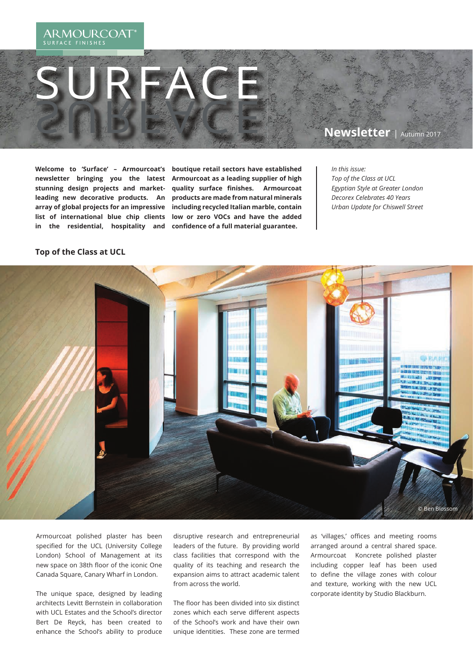#### **ARMOURCOAT** SURFACE FINISHES

## **Newsletter** | Autumn 2017

**Welcome to 'Surface' – Armourcoat's newsletter bringing you the latest stunning design projects and marketleading new decorative products. An array of global projects for an impressive list of international blue chip clients in the residential, hospitality and** 

SURFACE SURFACE

> **boutique retail sectors have established Armourcoat as a leading supplier of high quality surface finishes. Armourcoat products are made from natural minerals including recycled Italian marble, contain low or zero VOCs and have the added**  confidence of a full material guarantee.

*In this issue: Top of the Class at UCL Egyptian Style at Greater London Decorex Celebrates 40 Years Urban Update for Chiswell Street*

#### **Top of the Class at UCL**



Armourcoat polished plaster has been specified for the UCL (University College London) School of Management at its new space on 38th floor of the iconic One Canada Square, Canary Wharf in London.

The unique space, designed by leading architects Levitt Bernstein in collaboration with UCL Estates and the School's director Bert De Reyck, has been created to enhance the School's ability to produce

disruptive research and entrepreneurial leaders of the future. By providing world class facilities that correspond with the quality of its teaching and research the expansion aims to attract academic talent from across the world.

The floor has been divided into six distinct zones which each serve different aspects of the School's work and have their own unique identities. These zone are termed

as 'villages,' offices and meeting rooms arranged around a central shared space. Armourcoat Koncrete polished plaster including copper leaf has been used to define the village zones with colour and texture, working with the new UCL corporate identity by Studio Blackburn.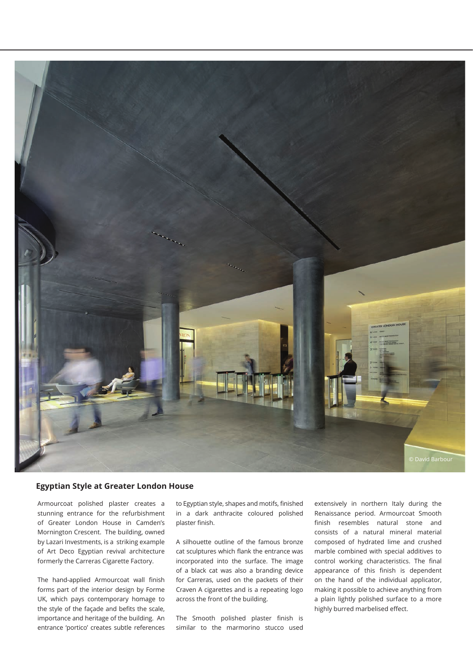

#### **Egyptian Style at Greater London House**

Armourcoat polished plaster creates a stunning entrance for the refurbishment of Greater London House in Camden's Mornington Crescent. The building, owned by Lazari Investments, is a striking example of Art Deco Egyptian revival architecture formerly the Carreras Cigarette Factory.

The hand-applied Armourcoat wall finish forms part of the interior design by Forme UK, which pays contemporary homage to the style of the façade and befits the scale, importance and heritage of the building. An entrance 'portico' creates subtle references to Egyptian style, shapes and motifs, finished in a dark anthracite coloured polished plaster finish.

A silhouette outline of the famous bronze cat sculptures which flank the entrance was incorporated into the surface. The image of a black cat was also a branding device for Carreras, used on the packets of their Craven A cigarettes and is a repeating logo across the front of the building.

The Smooth polished plaster finish is similar to the marmorino stucco used extensively in northern Italy during the Renaissance period. Armourcoat Smooth finish resembles natural stone and consists of a natural mineral material composed of hydrated lime and crushed marble combined with special additives to control working characteristics. The final appearance of this finish is dependent on the hand of the individual applicator, making it possible to achieve anything from a plain lightly polished surface to a more highly burred marbelised effect.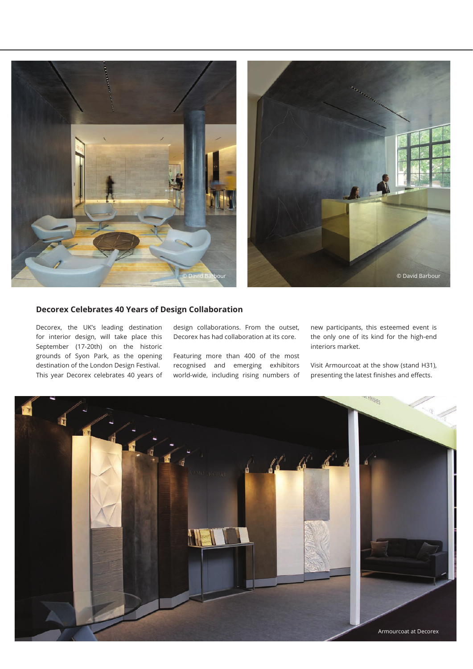



### **Decorex Celebrates 40 Years of Design Collaboration**

Decorex, the UK's leading destination for interior design, will take place this September (17-20th) on the historic grounds of Syon Park, as the opening destination of the London Design Festival. This year Decorex celebrates 40 years of design collaborations. From the outset, Decorex has had collaboration at its core.

Featuring more than 400 of the most recognised and emerging exhibitors world-wide, including rising numbers of new participants, this esteemed event is the only one of its kind for the high-end interiors market.

Visit Armourcoat at the show (stand H31), presenting the latest finishes and effects.